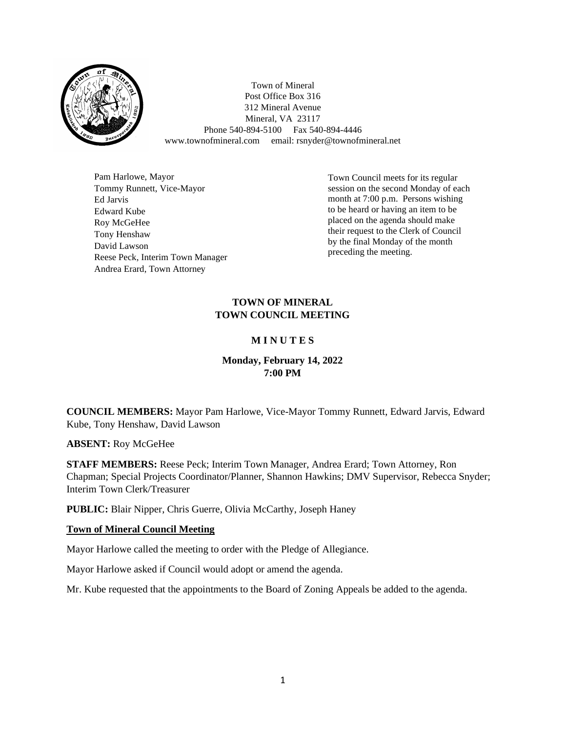

Town of Mineral Post Office Box 316 312 Mineral Avenue Mineral, VA 23117 Phone 540-894-5100 Fax 540-894-4446 www.townofmineral.com email: rsnyder@townofmineral.net

Pam Harlowe, Mayor Tommy Runnett, Vice-Mayor Ed Jarvis Edward Kube Roy McGeHee Tony Henshaw David Lawson Reese Peck, Interim Town Manager Andrea Erard, Town Attorney

Town Council meets for its regular session on the second Monday of each month at 7:00 p.m. Persons wishing to be heard or having an item to be placed on the agenda should make their request to the Clerk of Council by the final Monday of the month preceding the meeting.

## **TOWN OF MINERAL TOWN COUNCIL MEETING**

# **M I N U T E S**

## **Monday, February 14, 2022 7:00 PM**

**COUNCIL MEMBERS:** Mayor Pam Harlowe, Vice-Mayor Tommy Runnett, Edward Jarvis, Edward Kube, Tony Henshaw, David Lawson

**ABSENT:** Roy McGeHee

**STAFF MEMBERS:** Reese Peck; Interim Town Manager, Andrea Erard; Town Attorney, Ron Chapman; Special Projects Coordinator/Planner, Shannon Hawkins; DMV Supervisor, Rebecca Snyder; Interim Town Clerk/Treasurer

**PUBLIC:** Blair Nipper, Chris Guerre, Olivia McCarthy, Joseph Haney

## **Town of Mineral Council Meeting**

Mayor Harlowe called the meeting to order with the Pledge of Allegiance.

Mayor Harlowe asked if Council would adopt or amend the agenda.

Mr. Kube requested that the appointments to the Board of Zoning Appeals be added to the agenda.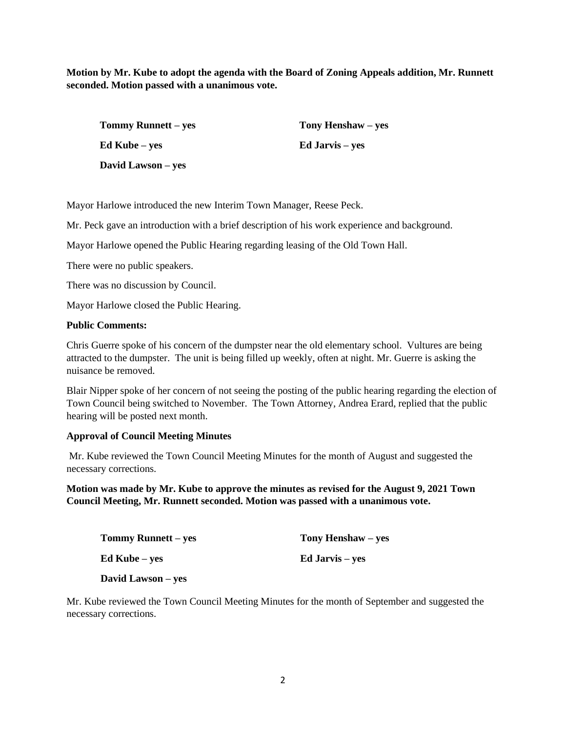**Motion by Mr. Kube to adopt the agenda with the Board of Zoning Appeals addition, Mr. Runnett seconded. Motion passed with a unanimous vote.**

| <b>Tommy Runnett – yes</b> | Tony Henshaw – yes     |
|----------------------------|------------------------|
| Ed Kube – yes              | <b>Ed Jarvis</b> – yes |
| David Lawson – yes         |                        |

Mayor Harlowe introduced the new Interim Town Manager, Reese Peck.

Mr. Peck gave an introduction with a brief description of his work experience and background.

Mayor Harlowe opened the Public Hearing regarding leasing of the Old Town Hall.

There were no public speakers.

There was no discussion by Council.

Mayor Harlowe closed the Public Hearing.

### **Public Comments:**

Chris Guerre spoke of his concern of the dumpster near the old elementary school. Vultures are being attracted to the dumpster. The unit is being filled up weekly, often at night. Mr. Guerre is asking the nuisance be removed.

Blair Nipper spoke of her concern of not seeing the posting of the public hearing regarding the election of Town Council being switched to November. The Town Attorney, Andrea Erard, replied that the public hearing will be posted next month.

### **Approval of Council Meeting Minutes**

Mr. Kube reviewed the Town Council Meeting Minutes for the month of August and suggested the necessary corrections.

**Motion was made by Mr. Kube to approve the minutes as revised for the August 9, 2021 Town Council Meeting, Mr. Runnett seconded. Motion was passed with a unanimous vote.**

| Tony Henshaw – yes |
|--------------------|
| Ed Jarvis – yes    |
|                    |

**David Lawson – yes**

Mr. Kube reviewed the Town Council Meeting Minutes for the month of September and suggested the necessary corrections.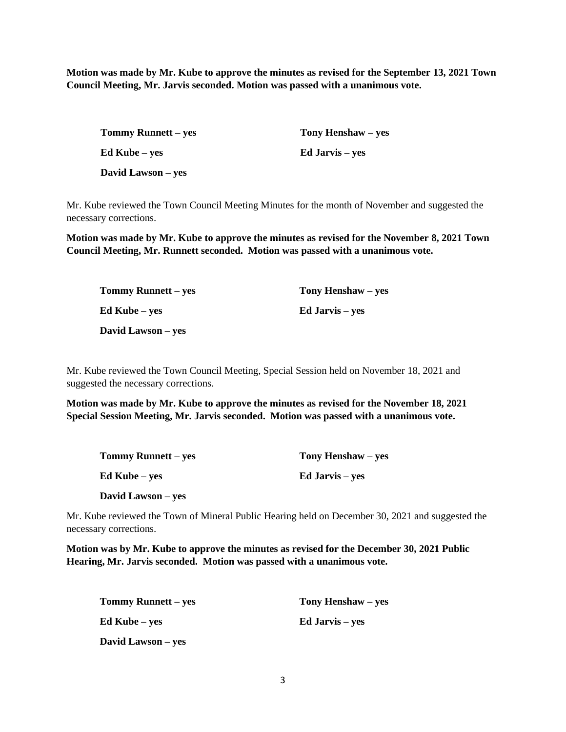**Motion was made by Mr. Kube to approve the minutes as revised for the September 13, 2021 Town Council Meeting, Mr. Jarvis seconded. Motion was passed with a unanimous vote.**

| <b>Tommy Runnett – yes</b> | Tony Henshaw – yes     |
|----------------------------|------------------------|
| Ed Kube – yes              | <b>Ed Jarvis</b> – yes |
| David Lawson – yes         |                        |

Mr. Kube reviewed the Town Council Meeting Minutes for the month of November and suggested the necessary corrections.

**Motion was made by Mr. Kube to approve the minutes as revised for the November 8, 2021 Town Council Meeting, Mr. Runnett seconded. Motion was passed with a unanimous vote.**

| <b>Tommy Runnett – yes</b> | Tony Henshaw – yes     |
|----------------------------|------------------------|
| Ed Kube – yes              | <b>Ed Jarvis</b> – yes |
| David Lawson – yes         |                        |

Mr. Kube reviewed the Town Council Meeting, Special Session held on November 18, 2021 and suggested the necessary corrections.

**Motion was made by Mr. Kube to approve the minutes as revised for the November 18, 2021 Special Session Meeting, Mr. Jarvis seconded. Motion was passed with a unanimous vote.**

| <b>Tommy Runnett</b> – yes | Tony Henshaw – yes     |
|----------------------------|------------------------|
| <b>Ed Kube</b> – yes       | <b>Ed Jarvis</b> – yes |
| David Lawson – yes         |                        |

Mr. Kube reviewed the Town of Mineral Public Hearing held on December 30, 2021 and suggested the necessary corrections.

**Motion was by Mr. Kube to approve the minutes as revised for the December 30, 2021 Public Hearing, Mr. Jarvis seconded. Motion was passed with a unanimous vote.**

| <b>Tommy Runnett</b> – yes | Tony Henshaw – yes     |
|----------------------------|------------------------|
| <b>Ed Kube</b> – yes       | <b>Ed Jarvis</b> – yes |
| David Lawson – yes         |                        |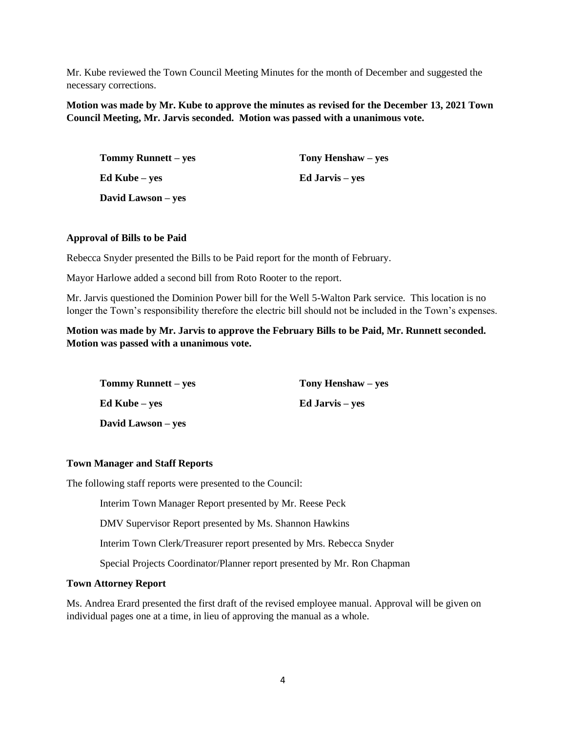Mr. Kube reviewed the Town Council Meeting Minutes for the month of December and suggested the necessary corrections.

**Motion was made by Mr. Kube to approve the minutes as revised for the December 13, 2021 Town Council Meeting, Mr. Jarvis seconded. Motion was passed with a unanimous vote.**

| <b>Tommy Runnett</b> – yes | Tony Henshaw – yes     |
|----------------------------|------------------------|
| Ed Kube – yes              | <b>Ed Jarvis</b> – yes |
| David Lawson – yes         |                        |

### **Approval of Bills to be Paid**

Rebecca Snyder presented the Bills to be Paid report for the month of February.

Mayor Harlowe added a second bill from Roto Rooter to the report.

Mr. Jarvis questioned the Dominion Power bill for the Well 5-Walton Park service. This location is no longer the Town's responsibility therefore the electric bill should not be included in the Town's expenses.

## **Motion was made by Mr. Jarvis to approve the February Bills to be Paid, Mr. Runnett seconded. Motion was passed with a unanimous vote.**

| <b>Tommy Runnett</b> – yes | Tony Henshaw – yes     |
|----------------------------|------------------------|
| <b>Ed Kube</b> – yes       | <b>Ed Jarvis</b> – yes |
| David Lawson – yes         |                        |

#### **Town Manager and Staff Reports**

The following staff reports were presented to the Council:

Interim Town Manager Report presented by Mr. Reese Peck

DMV Supervisor Report presented by Ms. Shannon Hawkins

Interim Town Clerk/Treasurer report presented by Mrs. Rebecca Snyder

Special Projects Coordinator/Planner report presented by Mr. Ron Chapman

#### **Town Attorney Report**

Ms. Andrea Erard presented the first draft of the revised employee manual. Approval will be given on individual pages one at a time, in lieu of approving the manual as a whole.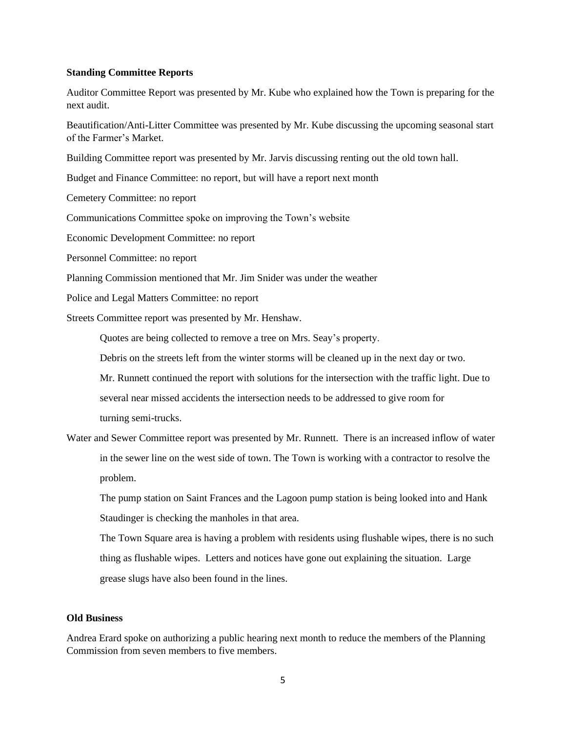#### **Standing Committee Reports**

Auditor Committee Report was presented by Mr. Kube who explained how the Town is preparing for the next audit.

Beautification/Anti-Litter Committee was presented by Mr. Kube discussing the upcoming seasonal start of the Farmer's Market.

Building Committee report was presented by Mr. Jarvis discussing renting out the old town hall.

Budget and Finance Committee: no report, but will have a report next month

Cemetery Committee: no report

Communications Committee spoke on improving the Town's website

Economic Development Committee: no report

Personnel Committee: no report

Planning Commission mentioned that Mr. Jim Snider was under the weather

Police and Legal Matters Committee: no report

Streets Committee report was presented by Mr. Henshaw.

Quotes are being collected to remove a tree on Mrs. Seay's property.

Debris on the streets left from the winter storms will be cleaned up in the next day or two.

Mr. Runnett continued the report with solutions for the intersection with the traffic light. Due to

several near missed accidents the intersection needs to be addressed to give room for

turning semi-trucks.

Water and Sewer Committee report was presented by Mr. Runnett. There is an increased inflow of water in the sewer line on the west side of town. The Town is working with a contractor to resolve the problem.

The pump station on Saint Frances and the Lagoon pump station is being looked into and Hank Staudinger is checking the manholes in that area.

The Town Square area is having a problem with residents using flushable wipes, there is no such thing as flushable wipes. Letters and notices have gone out explaining the situation. Large grease slugs have also been found in the lines.

#### **Old Business**

Andrea Erard spoke on authorizing a public hearing next month to reduce the members of the Planning Commission from seven members to five members.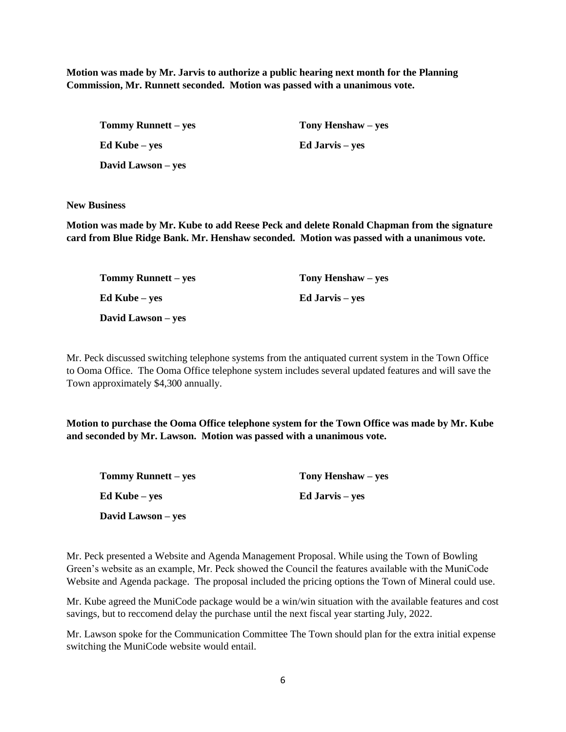**Motion was made by Mr. Jarvis to authorize a public hearing next month for the Planning Commission, Mr. Runnett seconded. Motion was passed with a unanimous vote.**

**Tommy Runnett – yes Tony Henshaw – yes Ed Kube – yes Ed Jarvis – yes David Lawson – yes**

**New Business**

**Motion was made by Mr. Kube to add Reese Peck and delete Ronald Chapman from the signature card from Blue Ridge Bank. Mr. Henshaw seconded. Motion was passed with a unanimous vote.**

| <b>Tommy Runnett – yes</b> | Tony Henshaw – yes     |
|----------------------------|------------------------|
| Ed Kube – yes              | <b>Ed Jarvis</b> – yes |
| David Lawson – yes         |                        |

Mr. Peck discussed switching telephone systems from the antiquated current system in the Town Office to Ooma Office. The Ooma Office telephone system includes several updated features and will save the Town approximately \$4,300 annually.

**Motion to purchase the Ooma Office telephone system for the Town Office was made by Mr. Kube and seconded by Mr. Lawson. Motion was passed with a unanimous vote.**

| <b>Tommy Runnett – yes</b> | Tony Henshaw – yes |
|----------------------------|--------------------|
| Ed Kube – yes              | Ed Jarvis – yes    |
| David Lawson – yes         |                    |

Mr. Peck presented a Website and Agenda Management Proposal. While using the Town of Bowling Green's website as an example, Mr. Peck showed the Council the features available with the MuniCode Website and Agenda package. The proposal included the pricing options the Town of Mineral could use.

Mr. Kube agreed the MuniCode package would be a win/win situation with the available features and cost savings, but to reccomend delay the purchase until the next fiscal year starting July, 2022.

Mr. Lawson spoke for the Communication Committee The Town should plan for the extra initial expense switching the MuniCode website would entail.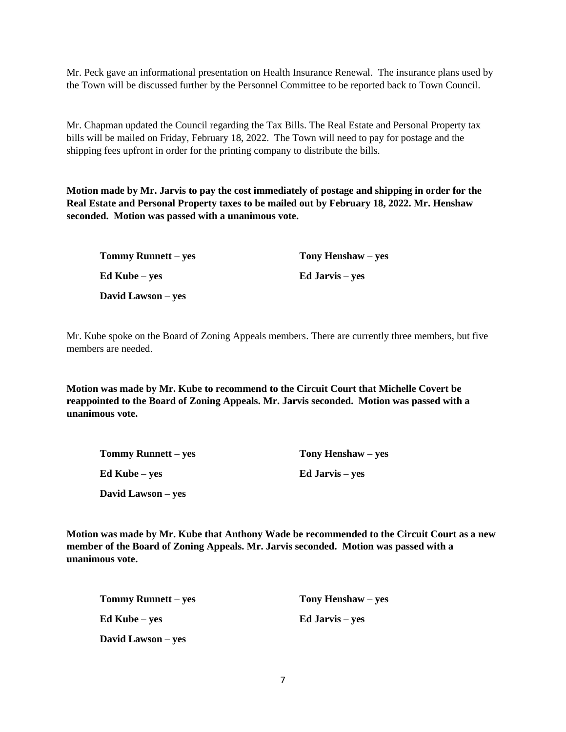Mr. Peck gave an informational presentation on Health Insurance Renewal. The insurance plans used by the Town will be discussed further by the Personnel Committee to be reported back to Town Council.

Mr. Chapman updated the Council regarding the Tax Bills. The Real Estate and Personal Property tax bills will be mailed on Friday, February 18, 2022. The Town will need to pay for postage and the shipping fees upfront in order for the printing company to distribute the bills.

**Motion made by Mr. Jarvis to pay the cost immediately of postage and shipping in order for the Real Estate and Personal Property taxes to be mailed out by February 18, 2022. Mr. Henshaw seconded. Motion was passed with a unanimous vote.** 

| Tommy Runnett – yes | Tony Henshaw – yes     |
|---------------------|------------------------|
| Ed Kube – yes       | <b>Ed Jarvis</b> – yes |
| David Lawson – yes  |                        |

Mr. Kube spoke on the Board of Zoning Appeals members. There are currently three members, but five members are needed.

**Motion was made by Mr. Kube to recommend to the Circuit Court that Michelle Covert be reappointed to the Board of Zoning Appeals. Mr. Jarvis seconded. Motion was passed with a unanimous vote.**

| Tommy Runnett – yes | Tony Henshaw – yes     |
|---------------------|------------------------|
| Ed Kube – yes       | <b>Ed Jarvis</b> – yes |
| David Lawson – yes  |                        |

**Motion was made by Mr. Kube that Anthony Wade be recommended to the Circuit Court as a new member of the Board of Zoning Appeals. Mr. Jarvis seconded. Motion was passed with a unanimous vote.** 

| Tommy Runnett – yes  | Tony Henshaw – yes |  |
|----------------------|--------------------|--|
| <b>Ed Kube</b> – ves | Ed Jarvis – yes    |  |
| David Lawson – yes   |                    |  |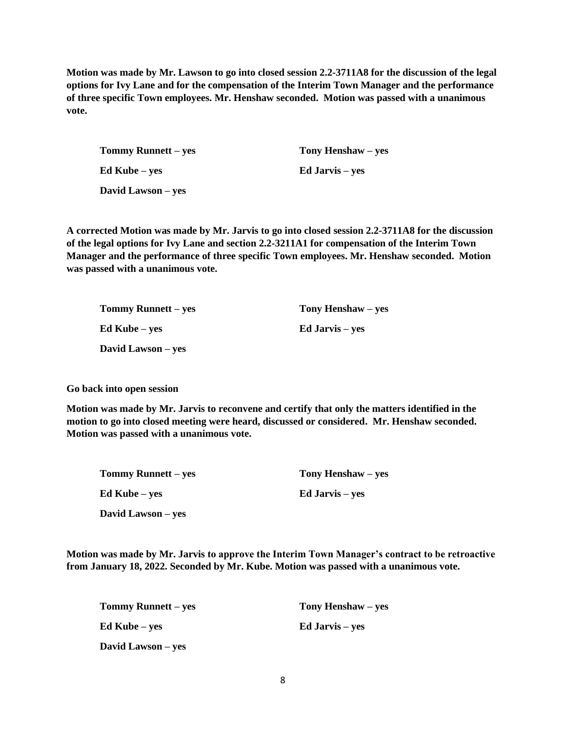**Motion was made by Mr. Lawson to go into closed session 2.2-3711A8 for the discussion of the legal options for Ivy Lane and for the compensation of the Interim Town Manager and the performance of three specific Town employees. Mr. Henshaw seconded. Motion was passed with a unanimous vote.**

| <b>Tommy Runnett</b> – yes | Tony Henshaw – yes     |  |
|----------------------------|------------------------|--|
| Ed Kube – yes              | <b>Ed Jarvis</b> – yes |  |
| David Lawson – yes         |                        |  |

**A corrected Motion was made by Mr. Jarvis to go into closed session 2.2-3711A8 for the discussion of the legal options for Ivy Lane and section 2.2-3211A1 for compensation of the Interim Town Manager and the performance of three specific Town employees. Mr. Henshaw seconded. Motion was passed with a unanimous vote.**

| <b>Tommy Runnett – yes</b> | Tony Henshaw – yes     |  |
|----------------------------|------------------------|--|
| Ed Kube – yes              | <b>Ed Jarvis</b> – yes |  |
| David Lawson – yes         |                        |  |

**Go back into open session**

**Motion was made by Mr. Jarvis to reconvene and certify that only the matters identified in the motion to go into closed meeting were heard, discussed or considered. Mr. Henshaw seconded. Motion was passed with a unanimous vote.** 

| Tommy Runnett – yes | Tony Henshaw – yes |
|---------------------|--------------------|
| Ed Kube – yes       | Ed Jarvis – yes    |
| David Lawson – yes  |                    |

**Motion was made by Mr. Jarvis to approve the Interim Town Manager's contract to be retroactive from January 18, 2022. Seconded by Mr. Kube. Motion was passed with a unanimous vote.**

| <b>Tommy Runnett – yes</b> | Tony Henshaw – yes     |  |
|----------------------------|------------------------|--|
| Ed Kube – yes              | <b>Ed Jarvis</b> – yes |  |
| David Lawson – yes         |                        |  |